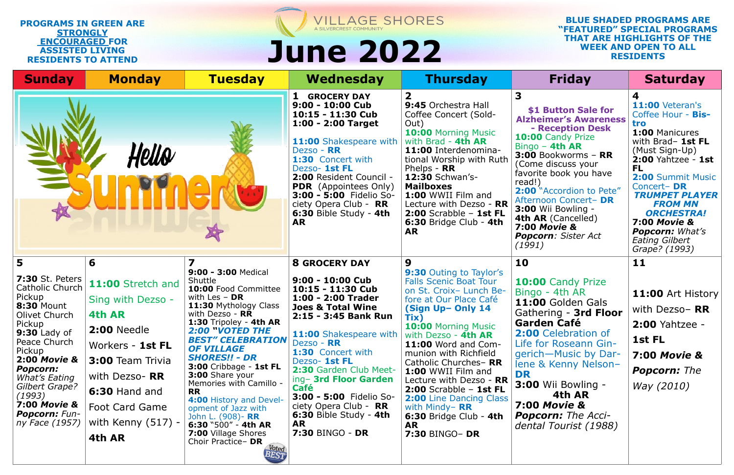| <b>Sunday</b>                                                                                                                                                                                                                                                                                                 | <b>Monday</b>                                                                                                                                                                                                       | <b>Tuesday</b>                                                                                                                                                                                                                                                                                                                                                                                                                                                                                                                    | Wednesday                                                                                                                                                                                                                                                                                                                                                                                                        | <b>Thursday</b>                                                                                                                                                                                                                                                                                                                                                                                                                              | <b>Friday</b>                                                                                                                                                                                                                                                                                                                                                                | <b>Saturday</b>                                                                                                                                                                                                                                                                                                                                   |
|---------------------------------------------------------------------------------------------------------------------------------------------------------------------------------------------------------------------------------------------------------------------------------------------------------------|---------------------------------------------------------------------------------------------------------------------------------------------------------------------------------------------------------------------|-----------------------------------------------------------------------------------------------------------------------------------------------------------------------------------------------------------------------------------------------------------------------------------------------------------------------------------------------------------------------------------------------------------------------------------------------------------------------------------------------------------------------------------|------------------------------------------------------------------------------------------------------------------------------------------------------------------------------------------------------------------------------------------------------------------------------------------------------------------------------------------------------------------------------------------------------------------|----------------------------------------------------------------------------------------------------------------------------------------------------------------------------------------------------------------------------------------------------------------------------------------------------------------------------------------------------------------------------------------------------------------------------------------------|------------------------------------------------------------------------------------------------------------------------------------------------------------------------------------------------------------------------------------------------------------------------------------------------------------------------------------------------------------------------------|---------------------------------------------------------------------------------------------------------------------------------------------------------------------------------------------------------------------------------------------------------------------------------------------------------------------------------------------------|
|                                                                                                                                                                                                                                                                                                               | lello                                                                                                                                                                                                               |                                                                                                                                                                                                                                                                                                                                                                                                                                                                                                                                   | <b>GROCERY DAY</b><br>9:00 - 10:00 Cub<br>10:15 - 11:30 Cub<br>$1:00 - 2:00$ Target<br><b>11:00 Shakespeare with</b><br>Dezso - RR<br><b>1:30</b> Concert with<br>Dezso- 1st FL<br>2:00 Resident Council -<br><b>PDR</b> (Appointees Only)<br>3:00 - 5:00 Fidelio So-<br>ciety Opera Club - RR<br>6:30 Bible Study - 4th<br><b>AR</b>                                                                            | 9:45 Orchestra Hall<br>Coffee Concert (Sold-<br>Out)<br>10:00 Morning Music<br>with Brad - 4th AR<br>11:00 Interdenomina-<br>tional Worship with Ruth<br>Phelps - $RR$<br><b>12:30 Schwan's-</b><br><b>Mailboxes</b><br>1:00 WWII Film and<br>Lecture with Dezso - RR<br>$2:00$ Scrabble - 1st FL<br>6:30 Bridge Club - 4th<br><b>AR</b>                                                                                                     | 3<br>\$1 Button Sale for<br><b>Alzheimer's Awareness</b><br>- Reception Desk<br>10:00 Candy Prize<br>Bingo $-$ 4th AR<br>$3:00$ Bookworms - RR<br>(Come discuss your<br>favorite book you have<br>read!)<br>2:00 "Accordion to Pete"<br>Afternoon Concert- DR<br>3:00 Wii Bowling -<br>4th AR (Cancelled)<br><b>7:00 Movie &amp;</b><br><b>Popcorn:</b> Sister Act<br>(1991) | 11:00 Veteran's<br>Coffee Hour - Bis-<br>tro<br>1:00 Manicures<br>with Brad- 1st FL<br>(Must Sign-Up)<br><b>2:00 Yahtzee - 1st</b><br><b>FL</b><br>2:00 Summit Music<br>Concert-DR<br><b>TRUMPET PLAYER</b><br><b>FROM MN</b><br><b>ORCHESTRA!</b><br><b>7:00 Movie &amp;</b><br><b>Popcorn:</b> What's<br><b>Eating Gilbert</b><br>Grape? (1993) |
| 5                                                                                                                                                                                                                                                                                                             | 6                                                                                                                                                                                                                   |                                                                                                                                                                                                                                                                                                                                                                                                                                                                                                                                   | <b>8 GROCERY DAY</b>                                                                                                                                                                                                                                                                                                                                                                                             | $\boldsymbol{9}$                                                                                                                                                                                                                                                                                                                                                                                                                             | 10                                                                                                                                                                                                                                                                                                                                                                           | 11                                                                                                                                                                                                                                                                                                                                                |
| <b>7:30 St. Peters</b><br>Catholic Church<br>Pickup<br><b>8:30 Mount</b><br>Olivet Church<br>Pickup<br><b>9:30 Lady of</b><br>Peace Church<br>Pickup<br><b>2:00 Movie &amp;</b><br>Popcorn:<br>What's Eating<br>Gilbert Grape?<br>(1993)<br><b>7:00 Movie &amp;</b><br><b>Popcorn: Fun-</b><br>ny Face (1957) | 11:00 Stretch and<br>Sing with Dezso -<br>4th AR<br><b>2:00 Needle</b><br>Workers - 1st FL<br><b>3:00 Team Trivia</b><br>with Dezso- RR<br>6:30 Hand and<br><b>Foot Card Game</b><br>with Kenny $(517)$ -<br>4th AR | 9:00 - 3:00 Medical<br>Shuttle<br>10:00 Food Committee<br>with Les $-$ DR<br>11:30 Mythology Class<br>with Dezso - RR<br>1:30 Tripoley - 4th AR<br><b>2:00 "VOTED THE</b><br><b>BEST" CELEBRATION</b><br><b>OF VILLAGE</b><br><b>SHORES!! - DR</b><br>3:00 Cribbage - 1st FL<br>3:00 Share your<br>Memories with Camillo -<br><b>RR</b><br>4:00 History and Devel-<br>opment of Jazz with<br>John L. (908) - RR<br>6:30 $^{\circ}500^{\prime\prime}$ - 4th AR<br><b>7:00 Village Shores</b><br>Choir Practice-DR<br>Voted<br>BEST | 9:00 - 10:00 Cub<br>10:15 - 11:30 Cub<br>1:00 - 2:00 Trader<br><b>Joes &amp; Total Wine</b><br>2:15 - 3:45 Bank Run<br>11:00 Shakespeare with   with Dezso - 4th AR<br>Dezso - RR<br>1:30 Concert with<br>Dezso- 1st FL<br>2:30 Garden Club Meet-<br>ing- 3rd Floor Garden<br><b>Café</b><br>3:00 - 5:00 Fidelio So-<br>ciety Opera Club - RR<br>$6:30$ Bible Study - 4th<br><b>AR</b><br><b>7:30 BINGO - DR</b> | 9:30 Outing to Taylor's<br><b>Falls Scenic Boat Tour</b><br>on St. Croix- Lunch Be-<br>fore at Our Place Café<br>(Sign Up- Only 14<br>Tix)<br><b>10:00 Morning Music</b><br>11:00 Word and Com-<br>munion with Richfield<br>Catholic Churches-RR<br>1:00 WWII Film and<br>Lecture with Dezso - RR<br>$2:00$ Scrabble - 1st FL<br><b>2:00</b> Line Dancing Class<br>with Mindy- $RR$<br>6:30 Bridge Club - 4th<br><b>AR</b><br>7:30 BINGO- DR | 10:00 Candy Prize<br>Bingo - 4th AR<br>11:00 Golden Gals<br>Gathering - 3rd Floor<br><b>Garden Café</b><br>2:00 Celebration of<br>Life for Roseann Gin-<br>gerich-Music by Dar-<br>lene & Kenny Nelson-<br>DR<br><b>3:00 Wii Bowling -</b><br>4th AR<br><b>7:00 Movie &amp;</b><br><b>Popcorn:</b> The Acci-<br>dental Tourist (1988)                                        | 11:00 Art History<br>with Dezso-RR<br><b>2:00 Yahtzee -</b><br>1st FL<br><b>7:00 Movie &amp;</b><br><b>Popcorn:</b> The<br>Way (2010)                                                                                                                                                                                                             |

## VILLAGE SHORES A SILVERCREST COMMUNITY **WEEK AND OPEN TO ALL June 2022 RESIDENTS**

## **PROGRAMS IN GREEN ARE STRONGLY ENCOURAGED FOR ASSISTED LIVING RESIDENTS TO ATTEND**

## **BLUE SHADED PROGRAMS ARE "FEATURED" SPECIAL PROGRAMS THAT ARE HIGHLIGHTS OF THE**